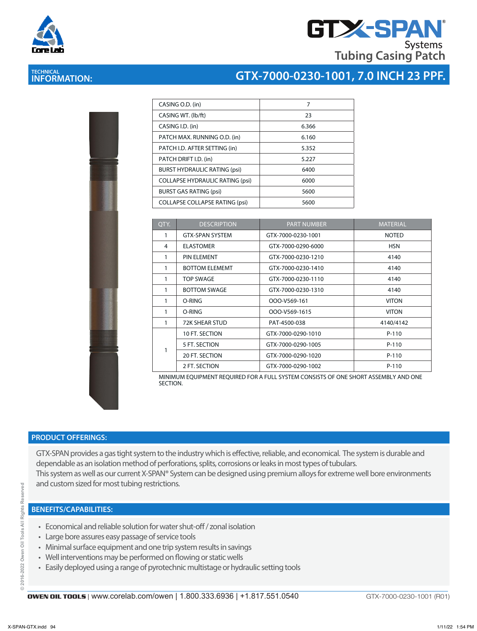



| Core Lab |  |
|----------|--|

# **TECHNICAL INFORMATION:**

| CASING O.D. (in)                       | 7     |
|----------------------------------------|-------|
| CASING WT. (Ib/ft)                     | 23    |
| CASING I.D. (in)                       | 6.366 |
| PATCH MAX. RUNNING O.D. (in)           | 6.160 |
| PATCH I.D. AFTER SETTING (in)          | 5.352 |
| PATCH DRIFT I.D. (in)                  | 5.227 |
| <b>BURST HYDRAULIC RATING (psi)</b>    | 6400  |
| <b>COLLAPSE HYDRAULIC RATING (psi)</b> | 6000  |
| <b>BURST GAS RATING (psi)</b>          | 5600  |
| <b>COLLAPSE COLLAPSE RATING (psi)</b>  | 5600  |

| QTY.         | <b>DESCRIPTION</b>     | <b>PART NUMBER</b> | <b>MATERIAL</b> |
|--------------|------------------------|--------------------|-----------------|
| 1            | <b>GTX-SPAN SYSTEM</b> | GTX-7000-0230-1001 | <b>NOTED</b>    |
| 4            | <b>ELASTOMER</b>       | GTX-7000-0290-6000 | <b>HSN</b>      |
| 1            | <b>PIN ELEMENT</b>     | GTX-7000-0230-1210 | 4140            |
| 1            | <b>BOTTOM ELEMEMT</b>  | GTX-7000-0230-1410 | 4140            |
| 1            | TOP SWAGE              | GTX-7000-0230-1110 | 4140            |
| 1            | <b>BOTTOM SWAGE</b>    | GTX-7000-0230-1310 | 4140            |
| 1            | O-RING                 | OOO-V569-161       | <b>VITON</b>    |
| 1            | O-RING                 | OOO-V569-1615      | <b>VITON</b>    |
| $\mathbf{1}$ | 72K SHEAR STUD         | PAT-4500-038       | 4140/4142       |
|              | 10 FT. SECTION         | GTX-7000-0290-1010 | $P-110$         |
| 1            | 5 FT. SECTION          | GTX-7000-0290-1005 | $P-110$         |
|              | 20 FT. SECTION         | GTX-7000-0290-1020 | $P-110$         |
|              | 2 FT. SECTION          | GTX-7000-0290-1002 | $P-110$         |

MINIMUM EQUIPMENT REQUIRED FOR A FULL SYSTEM CONSISTS OF ONE SHORT ASSEMBLY AND ONE SECTION.

### **PRODUCT OFFERINGS:**

GTX-SPAN provides a gas tight system to the industry which is effective, reliable, and economical. The system is durable and dependable as an isolation method of perforations, splits, corrosions or leaks in most types of tubulars. This system as well as our current X-SPAN® System can be designed using premium alloys for extreme well bore environments and custom sized for most tubing restrictions.

## **BENEFITS/CAPABILITIES:**

- Economical and reliable solution for water shut-off / zonal isolation
- Large bore assures easy passage of service tools
- Minimal surface equipment and one trip system results in savings
- Well interventions may be performed on flowing or static wells
- Easily deployed using a range of pyrotechnic multistage or hydraulic setting tools

ved

GTX-7000-0230-1001 (R01)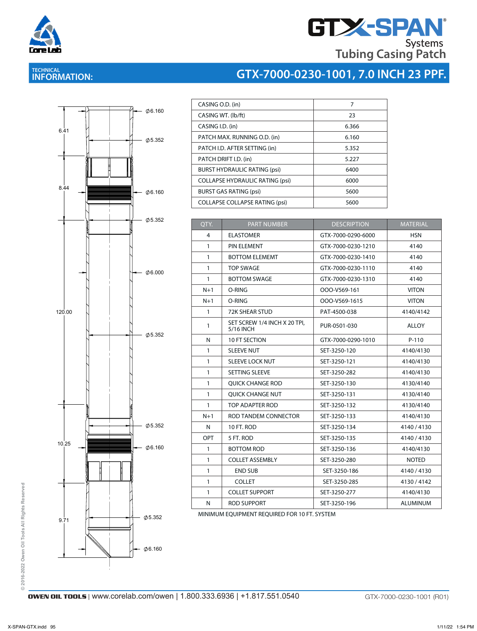

# **GTX-SPAN Tubing Casing Patch**

**GTX-7000-0230-1001, 7.0 INCH 23 PPF.**

# **TECHNICAL INFORMATION:**



| QTY.         | <b>PART NUMBER</b>                        | <b>DESCRIPTION</b> | <b>MATERIAL</b> |
|--------------|-------------------------------------------|--------------------|-----------------|
| 4            | <b>ELASTOMER</b>                          | GTX-7000-0290-6000 | <b>HSN</b>      |
| 1            | PIN ELEMENT                               | GTX-7000-0230-1210 | 4140            |
| $\mathbf{1}$ | <b>BOTTOM ELEMEMT</b>                     | GTX-7000-0230-1410 | 4140            |
| $\mathbf{1}$ | <b>TOP SWAGE</b>                          | GTX-7000-0230-1110 | 4140            |
| $\mathbf{1}$ | <b>BOTTOM SWAGE</b>                       | GTX-7000-0230-1310 | 4140            |
| $N+1$        | O-RING                                    | OOO-V569-161       | <b>VITON</b>    |
| $N+1$        | O-RING                                    | OOO-V569-1615      | <b>VITON</b>    |
| $\mathbf{1}$ | <b>72K SHEAR STUD</b>                     | PAT-4500-038       | 4140/4142       |
| 1            | SET SCREW 1/4 INCH X 20 TPI,<br>5/16 INCH | PUR-0501-030       | <b>ALLOY</b>    |
| N            | 10 FT SECTION                             | GTX-7000-0290-1010 | $P-110$         |
| 1            | <b>SLEEVE NUT</b>                         | SET-3250-120       | 4140/4130       |
| $\mathbf{1}$ | <b>SLEEVE LOCK NUT</b>                    | SET-3250-121       | 4140/4130       |
| $\mathbf{1}$ | SETTING SLEEVE                            | SET-3250-282       | 4140/4130       |
| $\mathbf{1}$ | <b>OUICK CHANGE ROD</b>                   | SET-3250-130       | 4130/4140       |
| $\mathbf{1}$ | QUICK CHANGE NUT                          | SET-3250-131       | 4130/4140       |
| $\mathbf{1}$ | TOP ADAPTER ROD                           | SET-3250-132       | 4130/4140       |
| $N+1$        | ROD TANDEM CONNECTOR                      | SET-3250-133       | 4140/4130       |
| N            | 10 FT. ROD                                | SET-3250-134       | 4140/4130       |
| OPT          | 5 FT. ROD                                 | SET-3250-135       | 4140 / 4130     |
| 1            | <b>BOTTOM ROD</b>                         | SET-3250-136       | 4140/4130       |
| 1            | <b>COLLET ASSEMBLY</b>                    | SET-3250-280       | <b>NOTED</b>    |
| $\mathbf{1}$ | <b>END SUB</b>                            | SET-3250-186       | 4140/4130       |
| $\mathbf{1}$ | <b>COLLET</b>                             | SET-3250-285       | 4130/4142       |
| $\mathbf{1}$ | <b>COLLET SUPPORT</b>                     | SET-3250-277       | 4140/4130       |
| N            | <b>ROD SUPPORT</b>                        | SET-3250-196       | <b>ALUMINUM</b> |

MINIMUM EQUIPMENT REQUIRED FOR 10 FT. SYSTEM

**© 2016-2022 Owen Oil Tools All Rights Reserved**

© 2016-2022 Owen Oil Tools All Rights Reserved